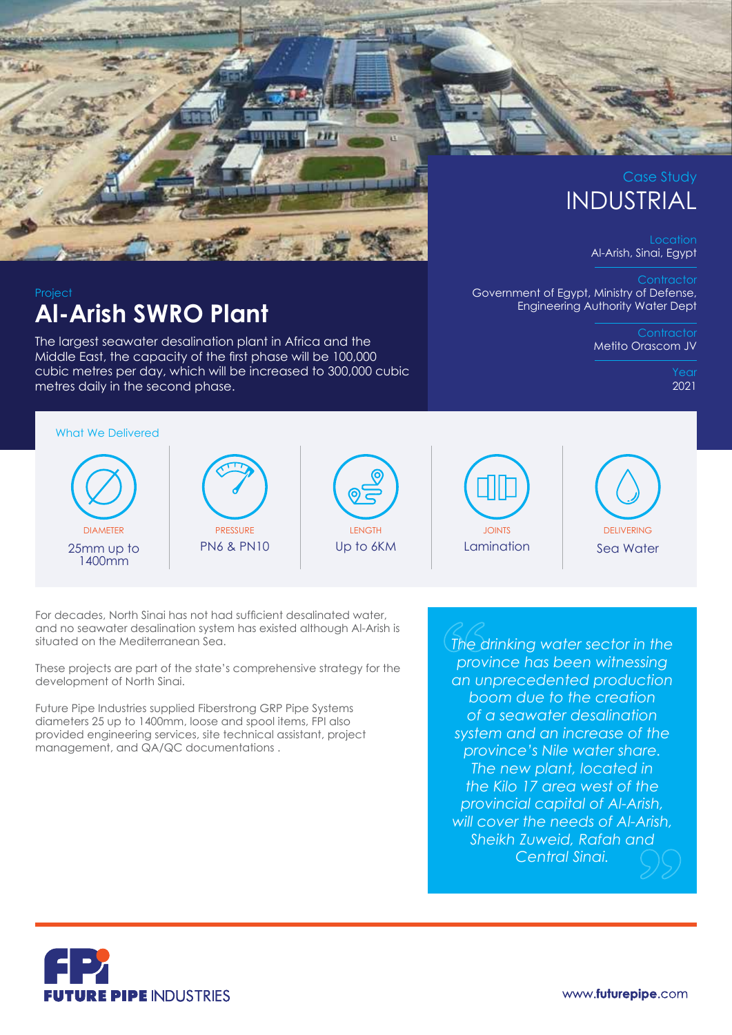

# INDUSTRIAL

Location Al-Arish, Sinai, Egypt

**Contractor** Government of Egypt, Ministry of Defense, Engineering Authority Water Dept

> **Contractor** Metito Orascom JV

> > Year 2021

### Project **Al-Arish SWRO Plant**

The largest seawater desalination plant in Africa and the Middle East, the capacity of the first phase will be 100,000 cubic metres per day, which will be increased to 300,000 cubic metres daily in the second phase.

What We Delivered DIAMETER 25mm up to 1400mm **PRESSURE** PN6 & PN10 **LENGTH** Up to 6KM JOINTS Lamination **DELIVERING** Sea Water

For decades, North Sinai has not had sufficient desalinated water, and no seawater desalination system has existed although Al-Arish is situated on the Mediterranean Sea.

These projects are part of the state's comprehensive strategy for the development of North Sinai.

Future Pipe Industries supplied Fiberstrong GRP Pipe Systems diameters 25 up to 1400mm, loose and spool items, FPI also provided engineering services, site technical assistant, project management, and QA/QC documentations .

*The drinking water sector in the province has been witnessing an unprecedented production boom due to the creation of a seawater desalination system and an increase of the province's Nile water share. The new plant, located in the Kilo 17 area west of the provincial capital of Al-Arish, will cover the needs of Al-Arish, Sheikh Zuweid, Rafah and Central Sinai.*